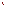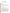# **Technical Factsheet on: TOXAPHENE**

[List of Contaminants](http://www.epa.gov/safewater/hfacts.html) 

 As part of the Drinking Water and Health pages, this fact sheet is part of a larger publication: **National Primary Drinking Water Regulations** 

Drinking Water Standards MCLG: zero mg/L MCL: 0.003 mg/L HAL(child): none

# **Health Effects Summary**

 levels above the MCL: central nervous system effects including restlessness, hyperexcitability, tremors, Acute: EPA has found toxaphene to potentially cause the following health effects from acute exposures at spasms or convulsions.

EPA has not set drinking water levels which are considered "safe" for short-term exposures.

 levels above the MCL: liver and kidney degeneration; central nervous system effects; possible immune Chronic: Toxaphene has the potential to cause the following health effects from long-term exposures at system suppression.

Cancer: There is some evidence that toxaphene may have the potential to cause cancer from a lifetime exposure at levels above the MCL.

## **Usage Patterns**

Production of toxaphene in 1977 was nearly 40 million pounds. By 1982, when EPA cancelled most of its uses, consumption was reported at 12 million pounds.

 Toxaphene was used as an insecticide for cotton (50%), vegetables (17%), livestock and poultry (17%), soybeans (12%), alfalfa, wheat and sorghum (5%).

 registered for sicklepod control in AL, GA, MS, AR, NC, SC, & TN as 24(C) registrations for special local needs. Strobane T-90 has a broad spectrum activity as stomach & contact residual insecticide, & it has insects. In the past, it has been used as piscicide (fish toxicant) in lakes. All formulations are now Restricted Use Pesticides. Special livestock formulations are available & recommended for the control of scab mites or mange on livestock. Rigo Toxaphene 6 has been shown activity against several species of worms, scab, mites, hornflies, lice & mealybugs & major cotton

 Other minor uses: for armyworms, cutworms, & grasshoppers; for mealybug & pineapple gummosis moth control on pineapples & weevil control on bananas. Conditional and restricted use as an insecticide and application and tank mixtures. as a miticide in foliar treatment of: cranberries, strawberries, apples, pears, quinces, nectarines, peaches, bananas, pineapple, eggplant, peppers, pimentos, tomatoes, broccoli, brussel sprouts, cabbage, cauliflower, collards, kale, kohlrabi, spinach, lettuce (head and leaf), parsnips, rutabagas, beans (lima, green and snap), corn (sweet), cowpeas, okra, alfalfa, barley, oats, rice, rye, wheat, celery, cotton, horseradish, peanuts, peas, sunflowers, soybeans, ornamental plants, birch, elm, hickory, maple oak, and noncrop areas. Also used in seed crop foliar treatment of clover and trefoil; in soil treatment of corn; in back rubber of beef cattle; in animal treatment of goats, sheep, beef cattle, and hogs; and aerial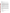#### **Release Patterns**

 Toxaphene is released into the environment primarily from its application as an insecticide for the protection of cotton, mostly in southern states.

#### **Environmental Fate**

Toxaphene is very persistent. When released to soil it will persist for long periods (1 to 14 yr), is not expected to leach to groundwater or be removed significantly by runoff unless adsorbed to clay particles which are removed by runoff. In water it will not appreciably hydrolyze, photolyze, or significantly biodegrade. It will strongly sorb to sediments.

 However, it has been reported that the detoxification of toxaphene was due to adsorption rather than by main components of toxaphene; under aerobic conditions 13.6% degradation of the 3 components was observed. Toxaphene is resistant to degradation in soils with reported half-lives ranging from 0.8 yr to 14 Little information concerning biodegradation of toxaphene in aquatic systems was found in the literature. degradation in 8 Wisconsin lakes. Degradation in aquatic sediment was more significant under anaerobic than aerobic conditions and oxidative as well as reductive metabolism can be important in the degradation of toxaphene. Anaerobic conditions in sediments led to nearly 50% overall degradation of 3 yr. 50% loss in 6 weeks due to biological transformation in anaerobic, flooded soils was reported while no transformation was found in aerobic sediments.

 model river is 6.0-6.3 hr. Although toxaphene is strongly adsorbed to soil, evaporation from soils may be very slowly in deep bodies of water. Evaporation from soils and surfaces will be a significant process for toxaphene. Based on range of reported Henry's Law constants the calculated range of the half-life for evaporation of toxaphene from a a significant process. Evaporation losses of from 7 to 14 kg/ha/yr or more have been estimated from loam soil under annual rainfall of 150 cm. Field studies have shown it to be detoxified rapidly in shallow and

Toxaphene may undergo very slow direct photolysis in the atmosphere. However vapor phase reactions with photochemically produced hydroxyl radicals should be more important fate process (estimated halflife 4-5 days). Toxaphene can be transported long distances in the air (1200 km) probably adsorbed to particular matter.

 Bioconcentration factors (BCF) for fish - 3100 to 69,000; for shrimp 400-1200; Algae - 6902; snails - 9600. toxaphene in the diet, residues are detected in eggs and adipose tissue with a BCF of about 5. Monitoring These BCF values indicated significant bioconcentration potential. Chickens fed 5, 50, or 100 ppm data demonstrates that toxaphene is a contaminant in some air, water, sediment, soil, fish and other aquatic organisms, foods and birds. Human exposure appears to come mostly from food or occupational exposure.

## **Chemical/ Physical Properties**

CAS Number: 8001-35-2

 Color/ Form/Odor: Amber waxy solid with a piney odor; a mixture of polychlorinated compounds, available as a dust, wettable powder, or as emulsifiable or oil solutions<br>M.P.: 65-90C B.P.: Decomposes<br>Vapor Pressure: 0.4 mm Hg at 25 C

M.P.: 65-90C B.P.: Decomposes

Octanol/Water Partition (Kow): Log Kow = 3.3